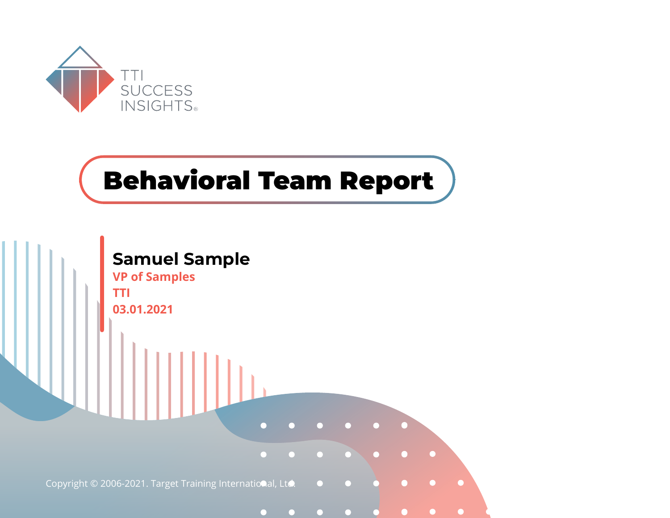

# **Behavioral Team Report**

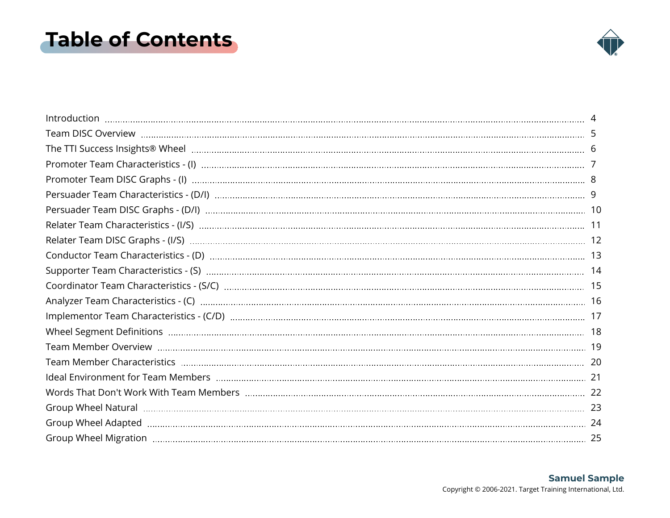### <span id="page-1-0"></span>**Table of Contents**

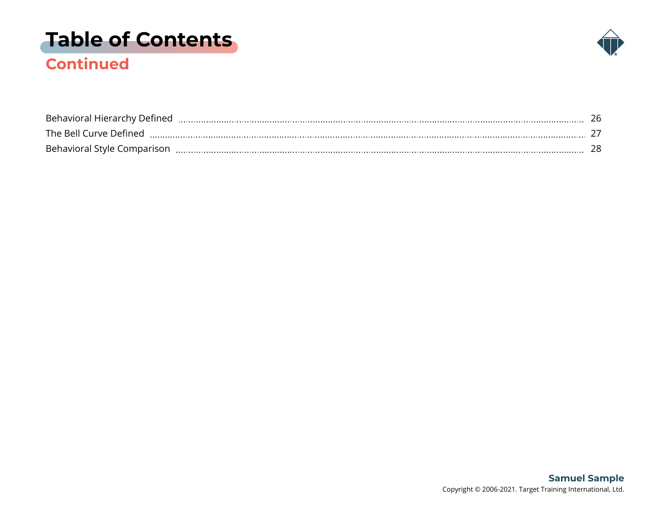# **[Table of Contents](#page-1-0)**



### **Continued**

| Behavioral Hierarchy Defined |  |
|------------------------------|--|
| The Bell Curve Defined       |  |
| Behavioral Style Comparison  |  |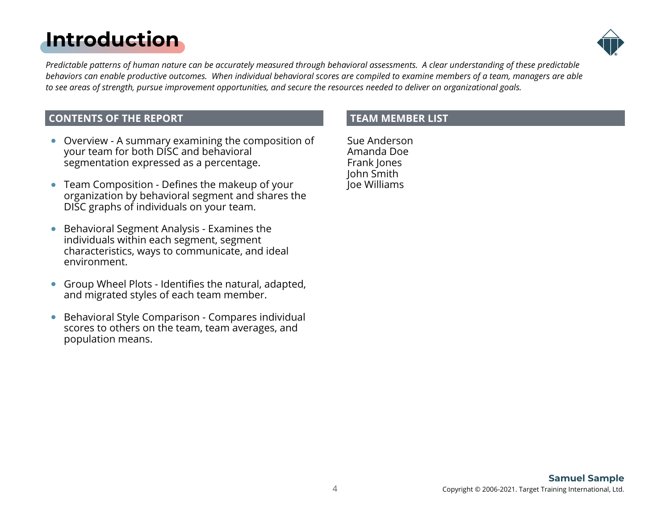# <span id="page-3-0"></span>**[Introduction](#page-1-0)**



*Predictable patterns of human nature can be accurately measured through behavioral assessments. A clear understanding of these predictable behaviors can enable productive outcomes. When individual behavioral scores are compiled to examine members of a team, managers are able to see areas of strength, pursue improvement opportunities, and secure the resources needed to deliver on organizational goals.*

#### **CONTENTS OF THE REPORT**

- Overview A summary examining the composition of your team for both DISC and behavioral segmentation expressed as a percentage.
- Team Composition Defines the makeup of your organization by behavioral segment and shares the DISC graphs of individuals on your team.
- Behavioral Segment Analysis Examines the  $\bullet$ individuals within each segment, segment characteristics, ways to communicate, and ideal environment.
- Group Wheel Plots Identifies the natural, adapted, and migrated styles of each team member.
- Behavioral Style Comparison Compares individual  $\bullet$ scores to others on the team, team averages, and population means.

#### **TEAM MEMBER LIST**

Sue Anderson Amanda Doe Frank Jones John Smith Joe Williams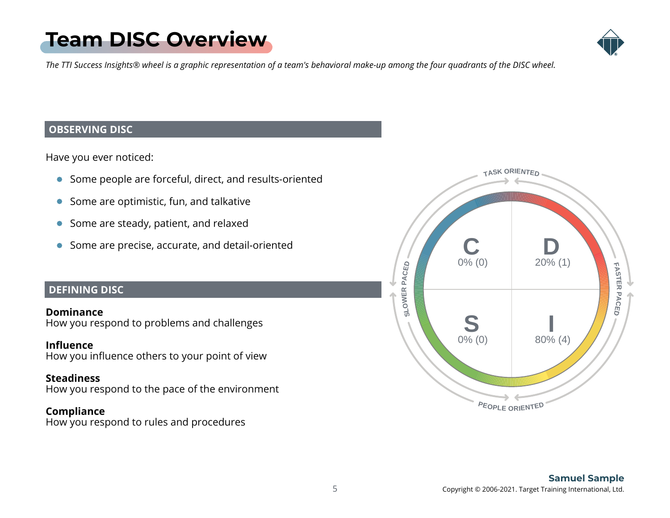# <span id="page-4-0"></span>**[Team DISC Overview](#page-1-0)**



*The TTI Success Insights® wheel is a graphic representation of a team's behavioral make-up among the four quadrants of the DISC wheel.*

#### **OBSERVING DISC**

Have you ever noticed:

- Some people are forceful, direct, and results-oriented
- Some are optimistic, fun, and talkative
- Some are steady, patient, and relaxed
- Some are precise, accurate, and detail-oriented

#### **DEFINING DISC**

**Dominance** How you respond to problems and challenges

#### **Influence**

How you influence others to your point of view

#### **Steadiness**

How you respond to the pace of the environment

#### **Compliance**

How you respond to rules and procedures

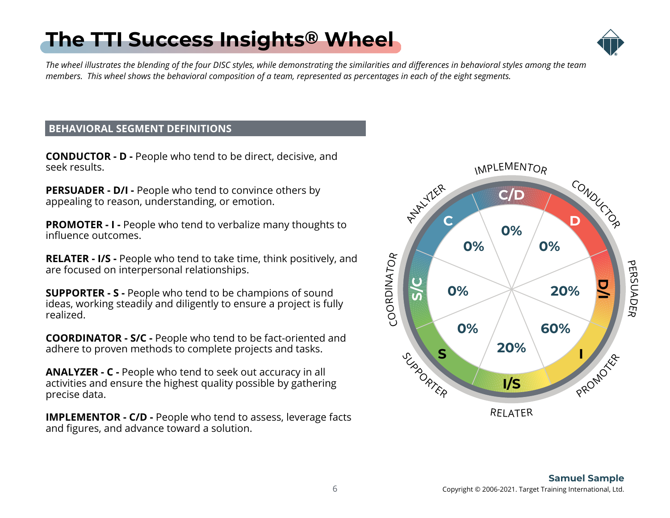#### 6 Copyright © 2006-2021. Target Training International, Ltd. **Samuel Sample**

# <span id="page-5-0"></span>**[The TTI Success Insights](#page-1-0) ® Wheel**



*The wheel illustrates the blending of the four DISC styles, while demonstrating the similarities and differences in behavioral styles among the team members. This wheel shows the behavioral composition of a team, represented as percentages in each of the eight segments.*

#### **BEHAVIORAL SEGMENT DEFINITIONS**

**CONDUCTOR - D -** People who tend to be direct, decisive, and seek results.

**PERSUADER - D/I - People who tend to convince others by** appealing to reason, understanding, or emotion.

**PROMOTER - I - People who tend to verbalize many thoughts to** influence outcomes.

**RELATER - I/S -** People who tend to take time, think positively, and are focused on interpersonal relationships.

**SUPPORTER - S -** People who tend to be champions of sound ideas, working steadily and diligently to ensure a project is fully realized.

**COORDINATOR - S/C -** People who tend to be fact-oriented and adhere to proven methods to complete projects and tasks.

**ANALYZER - C -** People who tend to seek out accuracy in all activities and ensure the highest quality possible by gathering precise data.

**IMPLEMENTOR - C/D - People who tend to assess, leverage facts** and figures, and advance toward a solution.

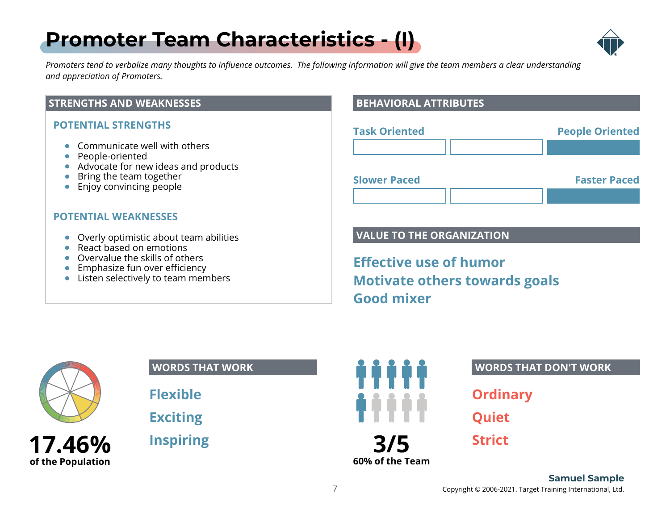### <span id="page-6-0"></span>**[Promoter Team Characteristics - \(I\)](#page-1-0)**



*Promoters tend to verbalize many thoughts to influence outcomes. The following information will give the team members a clear understanding and appreciation of Promoters.*

#### **STRENGTHS AND WEAKNESSES**

#### **POTENTIAL STRENGTHS**

- **Communicate well with others**
- People-oriented
- Advocate for new ideas and products
- Bring the team together
- Enjoy convincing people

#### **POTENTIAL WEAKNESSES**

- Overly optimistic about team abilities
- React based on emotions
- Overvalue the skills of others
- **Emphasize fun over efficiency**
- Listen selectively to team members

#### **BEHAVIORAL ATTRIBUTES**

| <b>Task Oriented</b> | <b>People Oriented</b> |
|----------------------|------------------------|
|                      |                        |
| <b>Slower Paced</b>  | <b>Faster Paced</b>    |
|                      |                        |

#### **VALUE TO THE ORGANIZATION**

**Effective use of humor Motivate others towards goals Good mixer**



**of the Population**

#### **WORDS THAT WORK**

**Flexible**

**Exciting**

**Inspiring**



#### **WORDS THAT DON'T WORK**

**Ordinary**

**Quiet**

**Strict**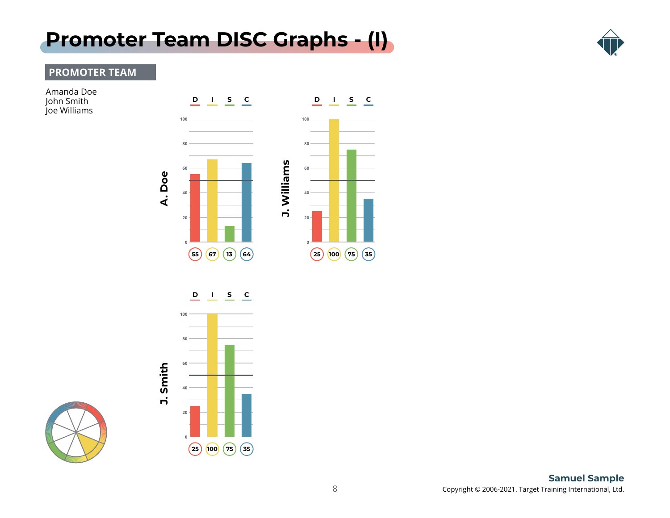### <span id="page-7-0"></span>**[Promoter Team DISC Graphs - \(I\)](#page-1-0)**



#### **PROMOTER TEAM**

Amanda Doe John Smith Joe Williams





**D I S C**



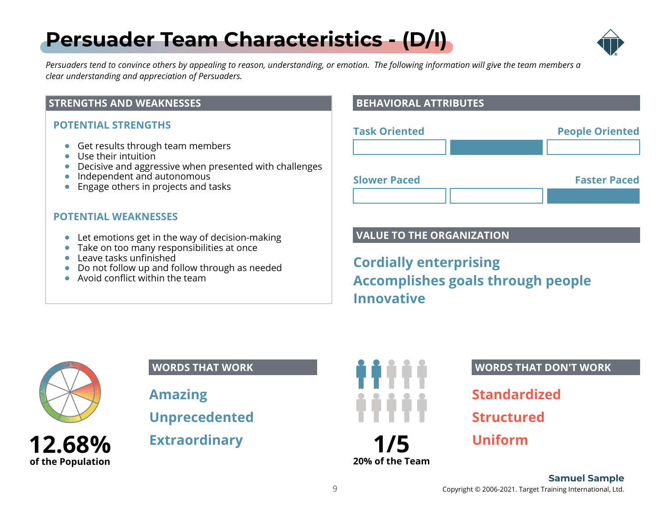# <span id="page-8-0"></span>**[Persuader Team Characteristics - \(D/I\)](#page-1-0)**



*Persuaders tend to convince others by appealing to reason, understanding, or emotion. The following information will give the team members a clear understanding and appreciation of Persuaders.*

#### **STRENGTHS AND WEAKNESSES**

#### **POTENTIAL STRENGTHS**

- **Get results through team members**
- Use their intuition
- Decisive and aggressive when presented with challenges
- $\bullet$  Independent and autonomous
- $\bullet$  Engage others in projects and tasks

#### **POTENTIAL WEAKNESSES**

- Let emotions get in the way of decision-making
- Take on too many responsibilities at once
- Leave tasks unfinished
- Do not follow up and follow through as needed
- Avoid conflict within the team

#### **BEHAVIORAL ATTRIBUTES**

| <b>Task Oriented</b> | <b>People Oriented</b> |
|----------------------|------------------------|
|                      |                        |
| <b>Slower Paced</b>  | <b>Faster Paced</b>    |

#### **VALUE TO THE ORGANIZATION**

**Cordially enterprising Accomplishes goals through people Innovative**



**12.68% of the Population**

#### **WORDS THAT WORK**

**Amazing Unprecedented**

**Extraordinary**



#### **WORDS THAT DON'T WORK**

**Standardized**

**Structured**

**Uniform**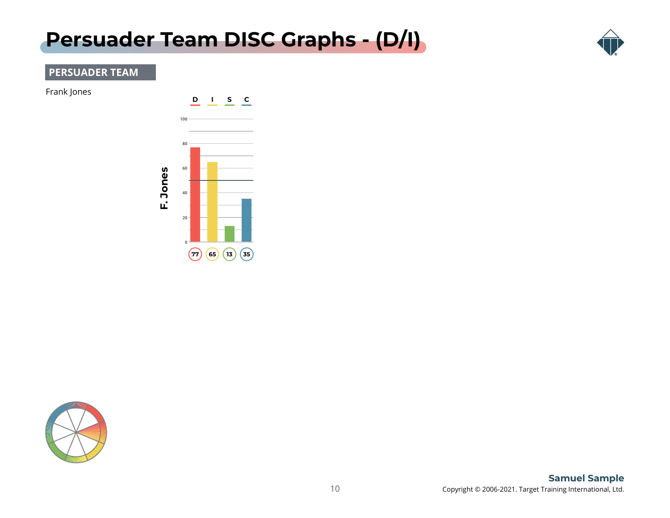### <span id="page-9-0"></span>**[Persuader Team DISC Graphs - \(D/I\)](#page-1-0)**



#### **PERSUADER TEAM**

Frank Jones



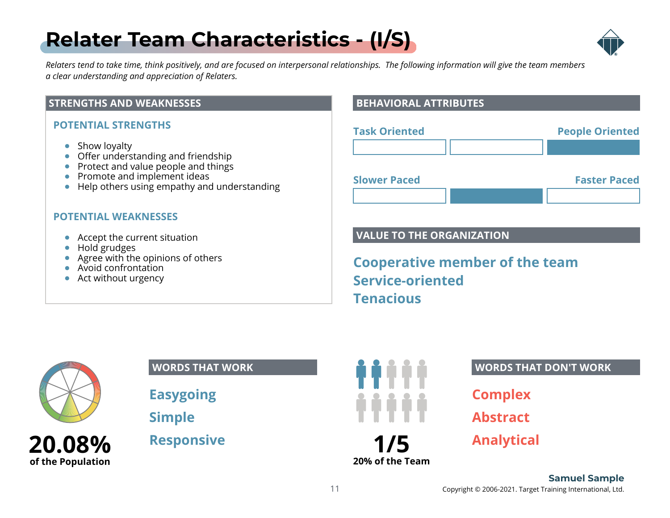# <span id="page-10-0"></span>**[Relater Team Characteristics - \(I/S\)](#page-1-0)**



*Relaters tend to take time, think positively, and are focused on interpersonal relationships. The following information will give the team members a clear understanding and appreciation of Relaters.*

#### **STRENGTHS AND WEAKNESSES**

#### **POTENTIAL STRENGTHS**

- Show loyalty
- Offer understanding and friendship
- Protect and value people and things
- Promote and implement ideas
- Help others using empathy and understanding

#### **POTENTIAL WEAKNESSES**

- Accept the current situation
- Hold grudges
- Agree with the opinions of others
- Avoid confrontation
- Act without urgency

#### **BEHAVIORAL ATTRIBUTES**

| <b>Task Oriented</b> | <b>People Oriented</b> |
|----------------------|------------------------|
|                      |                        |
| <b>Slower Paced</b>  | <b>Faster Paced</b>    |

#### **VALUE TO THE ORGANIZATION**

**Cooperative member of the team Service-oriented Tenacious**



**Easygoing**

**Simple**

**Responsive**



#### **WORDS THAT DON'T WORK**

**Complex**

**Abstract**

**Analytical**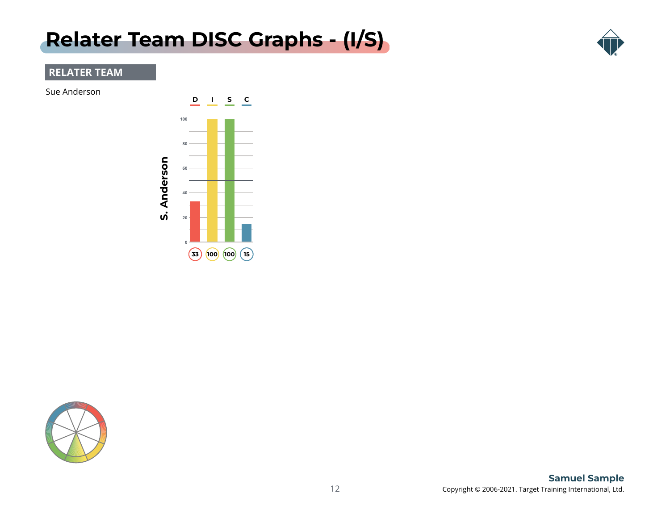### <span id="page-11-0"></span>**[Relater Team DISC Graphs - \(I/S\)](#page-1-0)**



#### **RELATER TEAM**

Sue Anderson



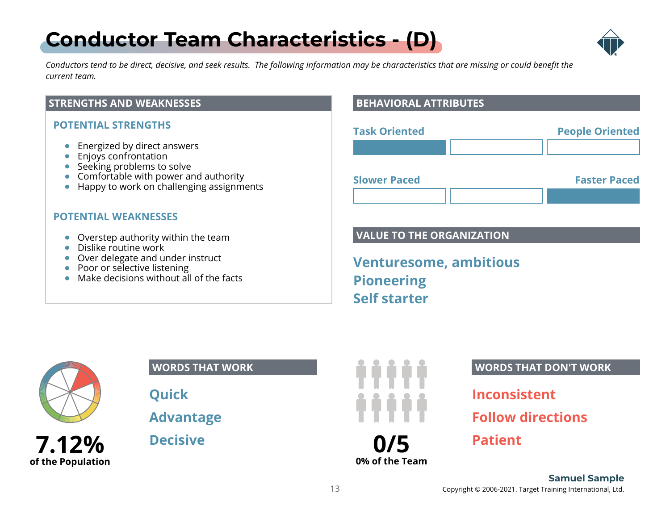# <span id="page-12-0"></span>**[Conductor Team Characteristics - \(D\)](#page-1-0)**



*Conductors tend to be direct, decisive, and seek results. The following information may be characteristics that are missing or could benefit the current team.*

#### **STRENGTHS AND WEAKNESSES**

#### **POTENTIAL STRENGTHS**

- **Energized by direct answers**
- **Enjoys confrontation**
- Seeking problems to solve
- Comfortable with power and authority
- Happy to work on challenging assignments

#### **POTENTIAL WEAKNESSES**

- Overstep authority within the team
- **•** Dislike routine work
- Over delegate and under instruct
- Poor or selective listening
- Make decisions without all of the facts

#### **BEHAVIORAL ATTRIBUTES**

| <b>Task Oriented</b> | <b>People Oriented</b> |
|----------------------|------------------------|
|                      |                        |
| <b>Slower Paced</b>  | <b>Faster Paced</b>    |
|                      |                        |

#### **VALUE TO THE ORGANIZATION**

**Venturesome, ambitious Pioneering Self starter**



**of the Population**

#### **WORDS THAT WORK**

**Quick**

**Advantage**

**Decisive**



**0% of the Team**

#### **WORDS THAT DON'T WORK**

**Inconsistent**

**Follow directions**

**Patient**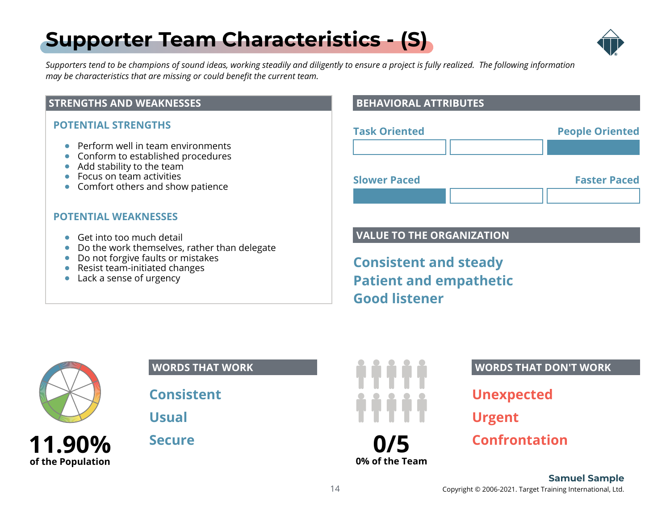# <span id="page-13-0"></span>**[Supporter Team Characteristics - \(S\)](#page-1-0)**



*Supporters tend to be champions of sound ideas, working steadily and diligently to ensure a project is fully realized. The following information may be characteristics that are missing or could benefit the current team.*

#### **STRENGTHS AND WEAKNESSES**

#### **POTENTIAL STRENGTHS**

- **•** Perform well in team environments
- Conform to established procedures
- Add stability to the team
- Focus on team activities
- Comfort others and show patience

#### **POTENTIAL WEAKNESSES**

- Get into too much detail
- Do the work themselves, rather than delegate
- Do not forgive faults or mistakes
- Resist team-initiated changes
- Lack a sense of urgency

#### **BEHAVIORAL ATTRIBUTES**

| <b>Task Oriented</b> | <b>People Oriented</b> |
|----------------------|------------------------|
|                      |                        |
| <b>Slower Paced</b>  | <b>Faster Paced</b>    |
|                      |                        |

#### **VALUE TO THE ORGANIZATION**

**Consistent and steady Patient and empathetic Good listener**



**11.90% of the Population**

#### **WORDS THAT WORK**

**Consistent**

**Usual**

**Secure**



**0% of the Team**

#### **WORDS THAT DON'T WORK**

**Unexpected**

**Urgent**

**Confrontation**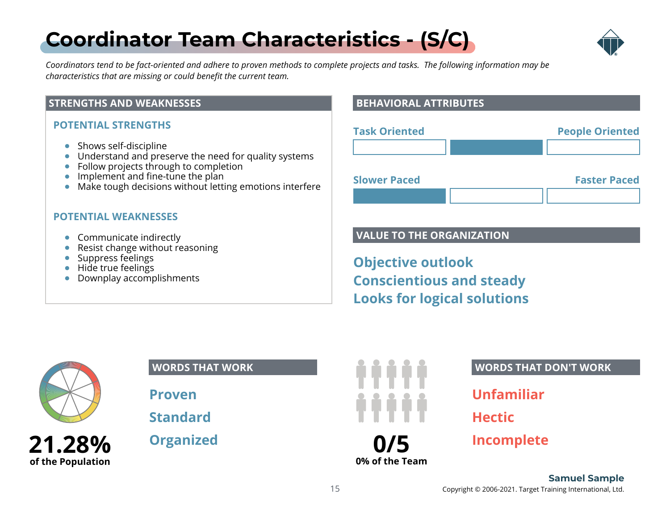# <span id="page-14-0"></span>**[Coordinator Team Characteristics - \(S/C\)](#page-1-0)**



*Coordinators tend to be fact-oriented and adhere to proven methods to complete projects and tasks. The following information may be characteristics that are missing or could benefit the current team.*

#### **STRENGTHS AND WEAKNESSES**

#### **POTENTIAL STRENGTHS**

- Shows self-discipline
- Understand and preserve the need for quality systems
- Follow projects through to completion
- $\bullet$  Implement and fine-tune the plan
- Make tough decisions without letting emotions interfere

#### **POTENTIAL WEAKNESSES**

- Communicate indirectly
- Resist change without reasoning
- Suppress feelings
- Hide true feelings
- Downplay accomplishments

#### **BEHAVIORAL ATTRIBUTES**

| <b>People Oriented</b> |
|------------------------|
|                        |
| <b>Faster Paced</b>    |
|                        |

#### **VALUE TO THE ORGANIZATION**

**Objective outlook Conscientious and steady Looks for logical solutions**



**21.28% of the Population**

#### **WORDS THAT WORK**

**Proven**

**Standard**

**Organized**



**0% of the Team**

#### **WORDS THAT DON'T WORK**

**Unfamiliar**

**Hectic**

**Incomplete**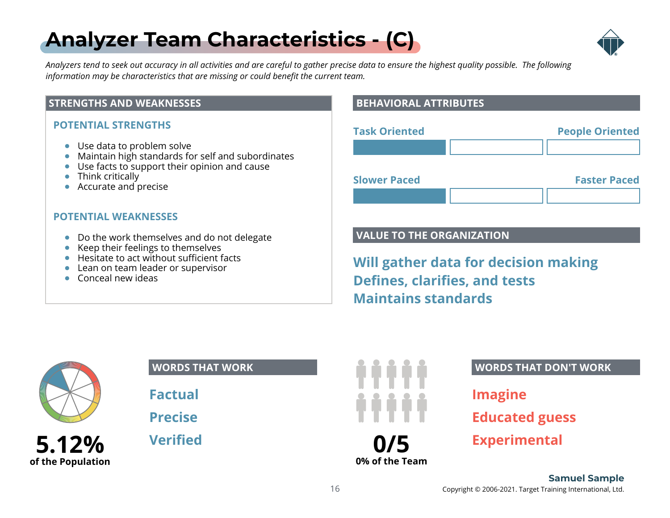# <span id="page-15-0"></span>**[Analyzer Team Characteristics - \(C\)](#page-1-0)**



*Analyzers tend to seek out accuracy in all activities and are careful to gather precise data to ensure the highest quality possible. The following information may be characteristics that are missing or could benefit the current team.*

#### **STRENGTHS AND WEAKNESSES**

#### **POTENTIAL STRENGTHS**

- Use data to problem solve
- Maintain high standards for self and subordinates
- Use facts to support their opinion and cause
- Think critically
- Accurate and precise

#### **POTENTIAL WEAKNESSES**

- Do the work themselves and do not delegate
- Keep their feelings to themselves
- Hesitate to act without sufficient facts
- Lean on team leader or supervisor
- Conceal new ideas

#### **BEHAVIORAL ATTRIBUTES**

| <b>Task Oriented</b> | <b>People Oriented</b> |
|----------------------|------------------------|
|                      |                        |
| <b>Slower Paced</b>  | <b>Faster Paced</b>    |
|                      |                        |

#### **VALUE TO THE ORGANIZATION**

**Will gather data for decision making Defines, clarifies, and tests Maintains standards**



**of the Population**

### **WORDS THAT WORK**

**Factual**

**Precise**

**Verified**



**0% of the Team**

#### **WORDS THAT DON'T WORK**

**Imagine Educated guess Experimental**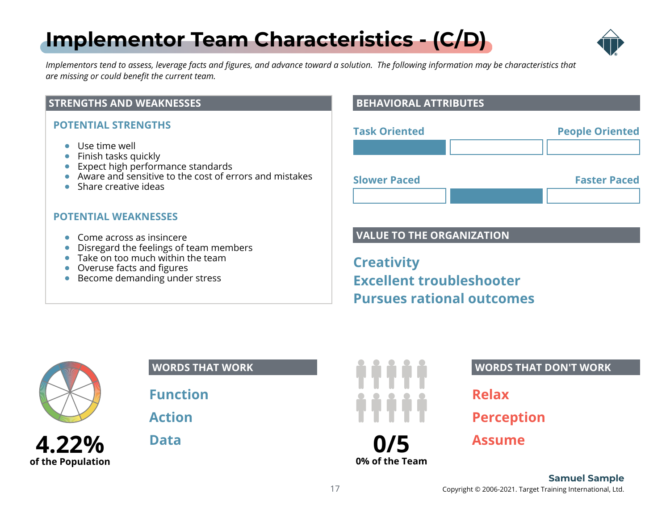# <span id="page-16-0"></span>**[Implementor Team Characteristics - \(C/D\)](#page-1-0)**



*Implementors tend to assess, leverage facts and figures, and advance toward a solution. The following information may be characteristics that are missing or could benefit the current team.*

#### **STRENGTHS AND WEAKNESSES**

#### **POTENTIAL STRENGTHS**

- Use time well
- Finish tasks quickly
- Expect high performance standards
- Aware and sensitive to the cost of errors and mistakes
- Share creative ideas

#### **POTENTIAL WEAKNESSES**

- Come across as insincere
- Disregard the feelings of team members
- Take on too much within the team
- Overuse facts and figures
- Become demanding under stress

#### **BEHAVIORAL ATTRIBUTES**

| <b>Task Oriented</b> | <b>People Oriented</b> |
|----------------------|------------------------|
|                      |                        |
|                      |                        |

**Slower Paced Faster Paced**

#### **VALUE TO THE ORGANIZATION**

**Creativity Excellent troubleshooter Pursues rational outcomes**



**4.22% of the Population**

#### **WORDS THAT WORK**

**Function**

**Action**

**Data**



**0% of the Team**

#### **WORDS THAT DON'T WORK**

**Relax**

**Perception**

**Assume**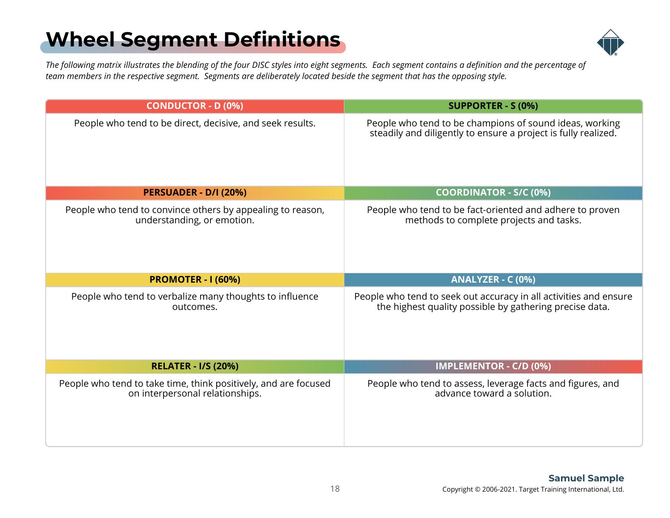# <span id="page-17-0"></span>**[Wheel Segment Definitions](#page-1-0)**



*The following matrix illustrates the blending of the four DISC styles into eight segments. Each segment contains a definition and the percentage of team members in the respective segment. Segments are deliberately located beside the segment that has the opposing style.*

| <b>CONDUCTOR - D (0%)</b>                                                                          | <b>SUPPORTER - S (0%)</b>                                                                                                    |
|----------------------------------------------------------------------------------------------------|------------------------------------------------------------------------------------------------------------------------------|
| People who tend to be direct, decisive, and seek results.                                          | People who tend to be champions of sound ideas, working<br>steadily and diligently to ensure a project is fully realized.    |
| <b>PERSUADER - D/I (20%)</b>                                                                       | <b>COORDINATOR - S/C (0%)</b>                                                                                                |
| People who tend to convince others by appealing to reason,<br>understanding, or emotion.           | People who tend to be fact-oriented and adhere to proven<br>methods to complete projects and tasks.                          |
| <b>PROMOTER - I (60%)</b>                                                                          | ANALYZER - C (0%)                                                                                                            |
| People who tend to verbalize many thoughts to influence<br>outcomes.                               | People who tend to seek out accuracy in all activities and ensure<br>the highest quality possible by gathering precise data. |
| <b>RELATER - I/S (20%)</b>                                                                         | <b>IMPLEMENTOR - C/D (0%)</b>                                                                                                |
| People who tend to take time, think positively, and are focused<br>on interpersonal relationships. | People who tend to assess, leverage facts and figures, and<br>advance toward a solution.                                     |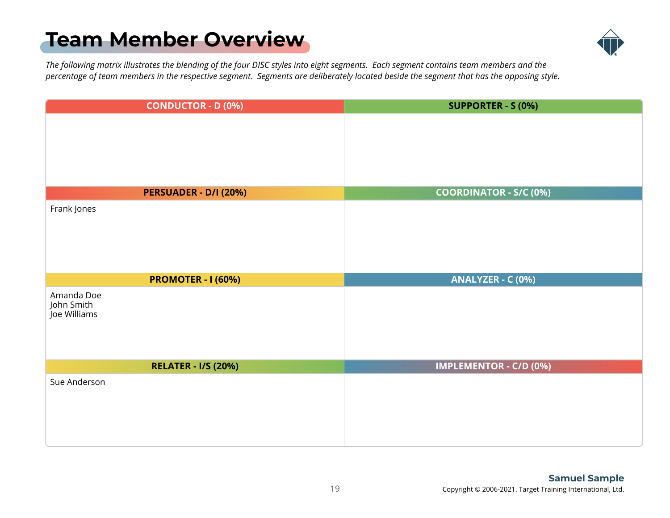### <span id="page-18-0"></span>**[Team Member Overview](#page-1-0)**



*The following matrix illustrates the blending of the four DISC styles into eight segments. Each segment contains team members and the percentage of team members in the respective segment. Segments are deliberately located beside the segment that has the opposing style.*

| <b>CONDUCTOR - D (0%)</b>  | <b>SUPPORTER - S (0%)</b>     |  |  |  |
|----------------------------|-------------------------------|--|--|--|
|                            |                               |  |  |  |
|                            |                               |  |  |  |
|                            |                               |  |  |  |
|                            |                               |  |  |  |
|                            |                               |  |  |  |
| PERSUADER - D/I (20%)      | <b>COORDINATOR - S/C (0%)</b> |  |  |  |
| Frank Jones                |                               |  |  |  |
|                            |                               |  |  |  |
|                            |                               |  |  |  |
|                            |                               |  |  |  |
|                            |                               |  |  |  |
| <b>PROMOTER - I (60%)</b>  | ANALYZER - C (0%)             |  |  |  |
|                            |                               |  |  |  |
| Amanda Doe                 |                               |  |  |  |
| John Smith                 |                               |  |  |  |
| Joe Williams               |                               |  |  |  |
|                            |                               |  |  |  |
|                            |                               |  |  |  |
| <b>RELATER - I/S (20%)</b> | <b>IMPLEMENTOR - C/D (0%)</b> |  |  |  |
| Sue Anderson               |                               |  |  |  |
|                            |                               |  |  |  |
|                            |                               |  |  |  |
|                            |                               |  |  |  |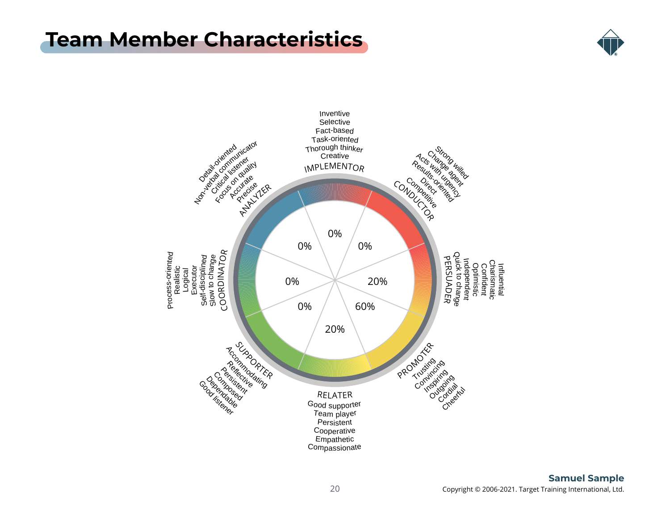### <span id="page-19-0"></span>**[Team Member Characteristics](#page-1-0)**



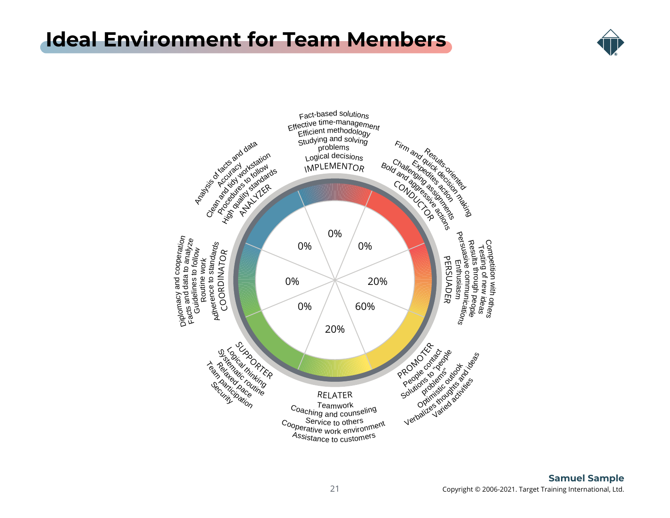### <span id="page-20-0"></span>**[Ideal Environment for Team Members](#page-1-0)**



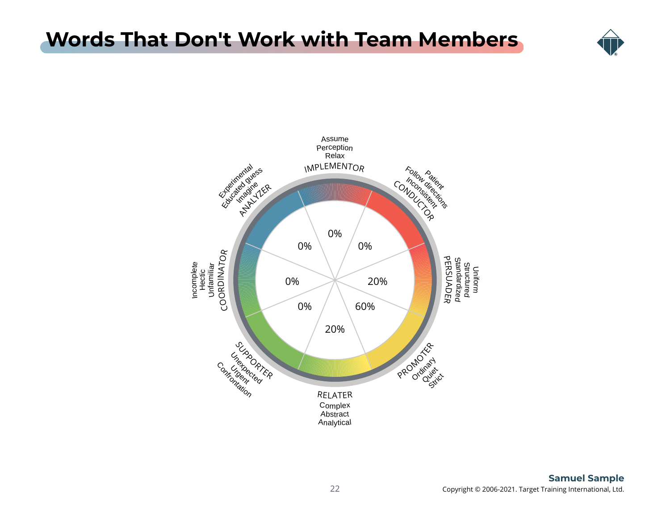### <span id="page-21-0"></span>**[Words That Don't Work with Team Members](#page-1-0)**



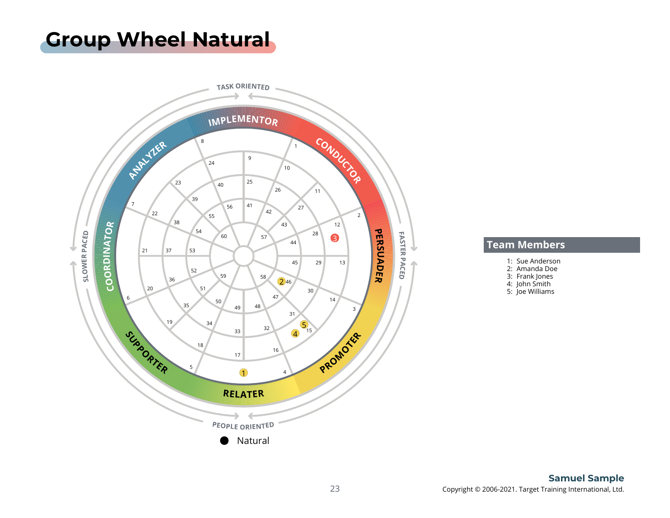### <span id="page-22-0"></span>**[Group Wheel Natural](#page-1-0)**



#### **Team Members**

- 1: Sue Anderson
- 2: Amanda Doe
- 3: Frank Jones
- 4: John Smith
- 5: Joe Williams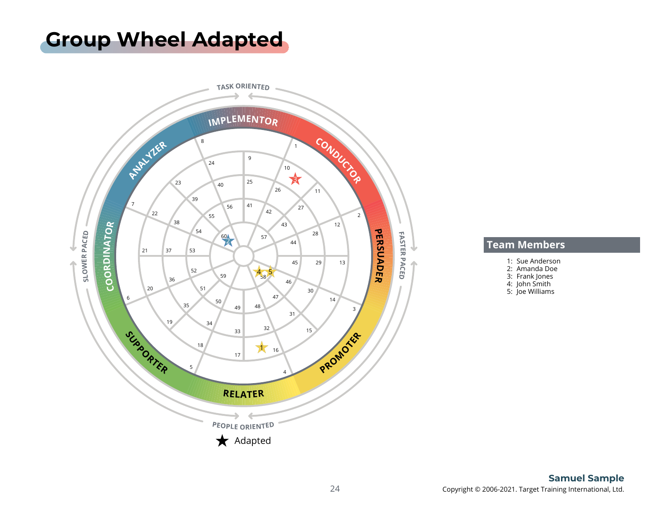### <span id="page-23-0"></span>**[Group Wheel Adapted](#page-1-0)**



#### **Team Members**

- 1: Sue Anderson
- 2: Amanda Doe
- 3: Frank Jones
- 4: John Smith
- 5: Joe Williams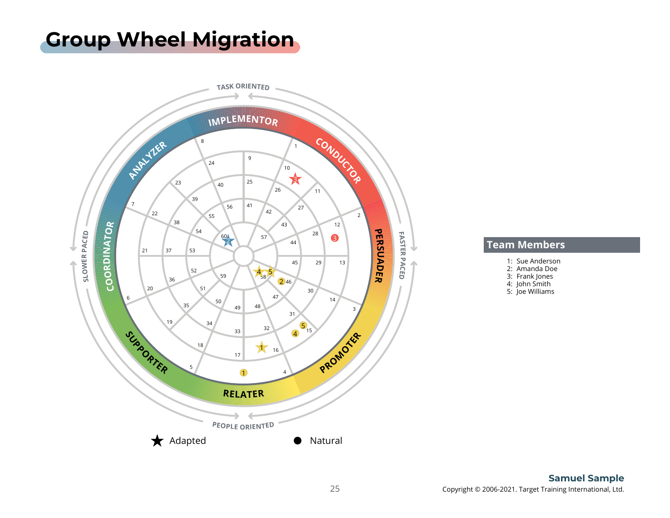### <span id="page-24-0"></span>**[Group Wheel Migration](#page-1-0)**



#### **Team Members**

- 1: Sue Anderson
- 2: Amanda Doe
- 3: Frank Jones
- 4: John Smith
- 5: Joe Williams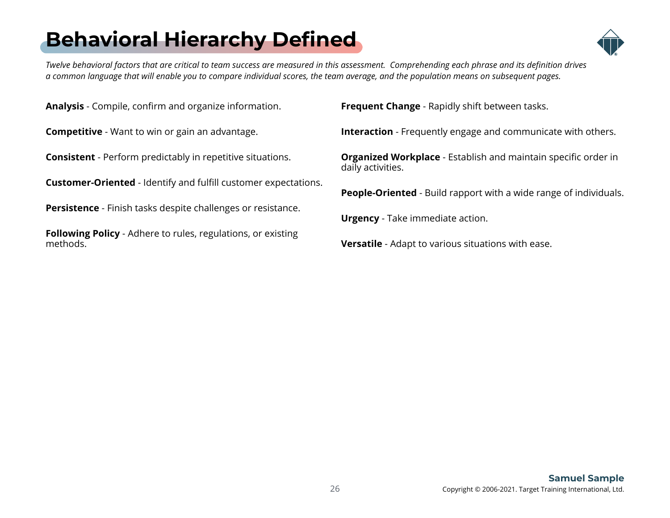# <span id="page-25-0"></span>**[Behavioral Hierarchy Defined](#page-1-0)**



*Twelve behavioral factors that are critical to team success are measured in this assessment. Comprehending each phrase and its definition drives a common language that will enable you to compare individual scores, the team average, and the population means on subsequent pages.*

**Analysis** - Compile, confirm and organize information.

**Competitive** - Want to win or gain an advantage.

**Consistent** - Perform predictably in repetitive situations.

**Customer-Oriented** - Identify and fulfill customer expectations.

**Persistence** - Finish tasks despite challenges or resistance.

**Following Policy** - Adhere to rules, regulations, or existing methods.

**Frequent Change** - Rapidly shift between tasks.

**Interaction** - Frequently engage and communicate with others.

**Organized Workplace** - Establish and maintain specific order in daily activities.

**People-Oriented** - Build rapport with a wide range of individuals.

**Urgency** - Take immediate action.

**Versatile** - Adapt to various situations with ease.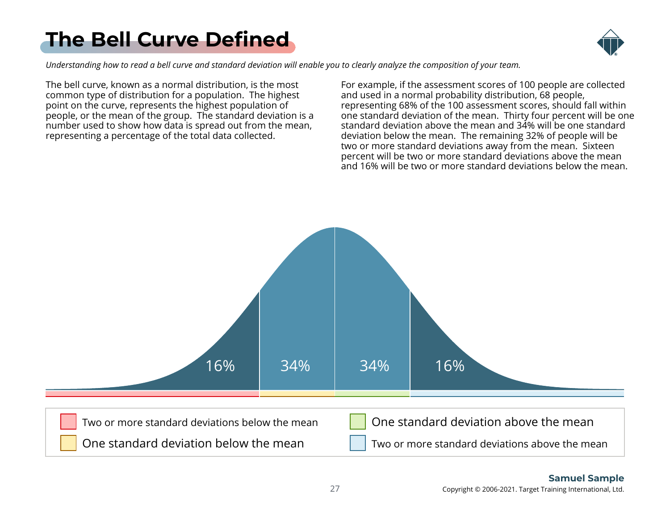# <span id="page-26-0"></span>**[The Bell Curve Defined](#page-1-0)**



*Understanding how to read a bell curve and standard deviation will enable you to clearly analyze the composition of your team.*

The bell curve, known as a normal distribution, is the most common type of distribution for a population. The highest point on the curve, represents the highest population of people, or the mean of the group. The standard deviation is a number used to show how data is spread out from the mean, representing a percentage of the total data collected.

For example, if the assessment scores of 100 people are collected and used in a normal probability distribution, 68 people, representing 68% of the 100 assessment scores, should fall within one standard deviation of the mean. Thirty four percent will be one standard deviation above the mean and 34% will be one standard deviation below the mean. The remaining 32% of people will be two or more standard deviations away from the mean. Sixteen percent will be two or more standard deviations above the mean and 16% will be two or more standard deviations below the mean.